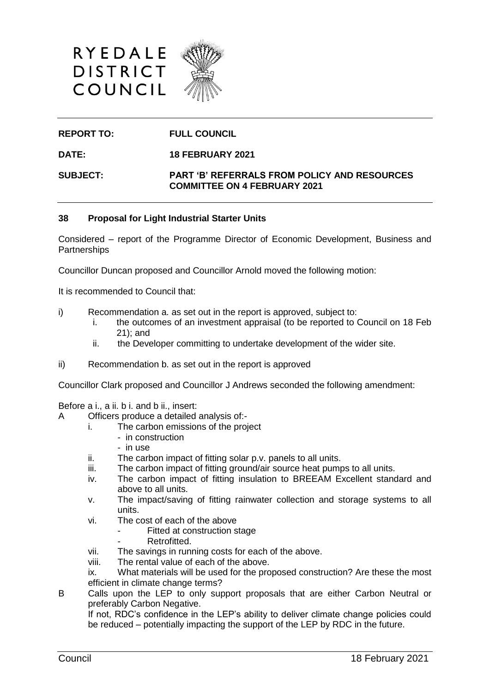



### **REPORT TO: FULL COUNCIL**

**DATE: 18 FEBRUARY 2021**

**SUBJECT: PART 'B' REFERRALS FROM POLICY AND RESOURCES COMMITTEE ON 4 FEBRUARY 2021**

#### **38 Proposal for Light Industrial Starter Units**

Considered – report of the Programme Director of Economic Development, Business and **Partnerships** 

Councillor Duncan proposed and Councillor Arnold moved the following motion:

It is recommended to Council that:

- i) Recommendation a. as set out in the report is approved, subject to:
	- i. the outcomes of an investment appraisal (to be reported to Council on 18 Feb 21); and
	- ii. the Developer committing to undertake development of the wider site.
- ii) Recommendation b. as set out in the report is approved

Councillor Clark proposed and Councillor J Andrews seconded the following amendment:

Before a i., a ii. b i. and b ii., insert:

- A Officers produce a detailed analysis of:
	- i. The carbon emissions of the project
		- in construction
		- in use
	- ii. The carbon impact of fitting solar p.v. panels to all units.
	- iii. The carbon impact of fitting ground/air source heat pumps to all units.
	- iv. The carbon impact of fitting insulation to BREEAM Excellent standard and above to all units.
	- v. The impact/saving of fitting rainwater collection and storage systems to all units.
	- vi. The cost of each of the above
		- Fitted at construction stage
			- Retrofitted.
	- vii. The savings in running costs for each of the above.
	- viii. The rental value of each of the above.
	- ix. What materials will be used for the proposed construction? Are these the most efficient in climate change terms?
- B Calls upon the LEP to only support proposals that are either Carbon Neutral or preferably Carbon Negative.

If not, RDC's confidence in the LEP's ability to deliver climate change policies could be reduced – potentially impacting the support of the LEP by RDC in the future.